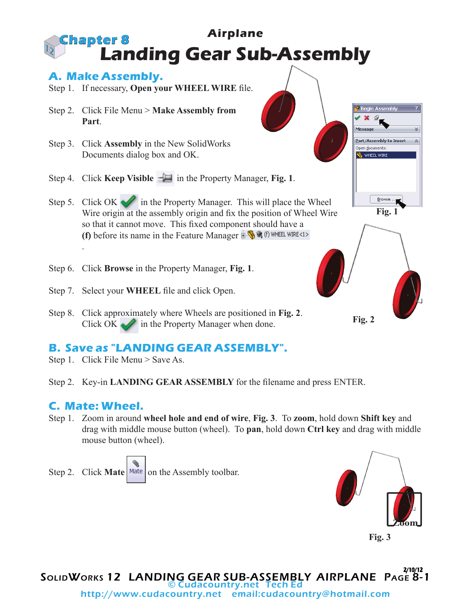## **Airplane Landing Gear Sub-Assembly Chapter 8**

## **A. Make Assembly.**

- Step 1. If necessary, **Open your WHEEL WIRE** file.
- Step 2. Click File Menu > **Make Assembly from Part**.
- Step 3. Click **Assembly** in the New SolidWorks Documents dialog box and OK.
- Step 4. Click **Keep Visible**  $-\Box$  in the Property Manager, **Fig. 1**.
- Step 5. Click OK in the Property Manager. This will place the Wheel Wire origin at the assembly origin and fix the position of Wheel Wire so that it cannot move. This fixed component should have a **(f)** before its name in the Feature Manager  $\mathbf{H} = \mathbf{Q}$  of (f) where wire <1> .
- Step 6. Click **Browse** in the Property Manager, **Fig. 1**.
- Step 7. Select your **WHEEL** file and click Open.
- Step 8. Click approximately where Wheels are positioned in **Fig. 2**. Click OK  $\sim$  in the Property Manager when done.

## **B. Save as "LANDING GEAR ASSEMBLY".**

- Step 1. Click File Menu > Save As.
- Step 2. Key-in **LANDING GEAR ASSEMBLY** for the filename and press ENTER.

## **C. Mate: Wheel.**

Step 1. Zoom in around **wheel hole and end of wire**, **Fig. 3**. To **zoom**, hold down **Shift key** and drag with middle mouse button (wheel). To **pan**, hold down **Ctrl key** and drag with middle mouse button (wheel).

Step 2. Click **Mate** Mate on the Assembly toolbar.



**Fig. 2**

**Fig. 1**

Browse..

**Begin Assembly** 

Part/Assembly to Inser Open <u>d</u>ocuments: **WHEEL WIRE** 



SolidWorks 12 LANDING GEAR SUB-ASSEMBLY AIRPLANE Page 8-1 2/10/12 © Cudacountry.net Tech Ed http://www.cudacountry.net email:cudacountry@hotmail.com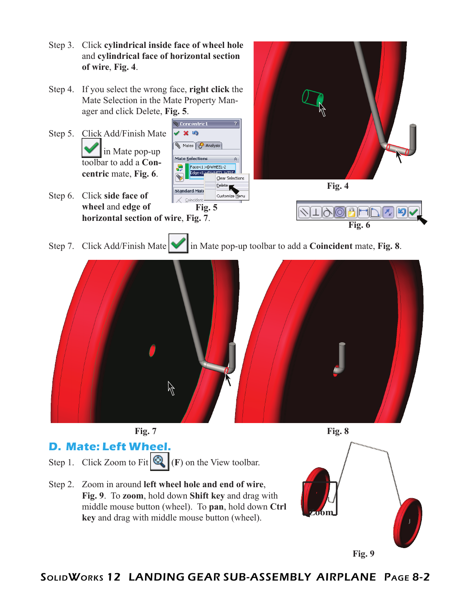